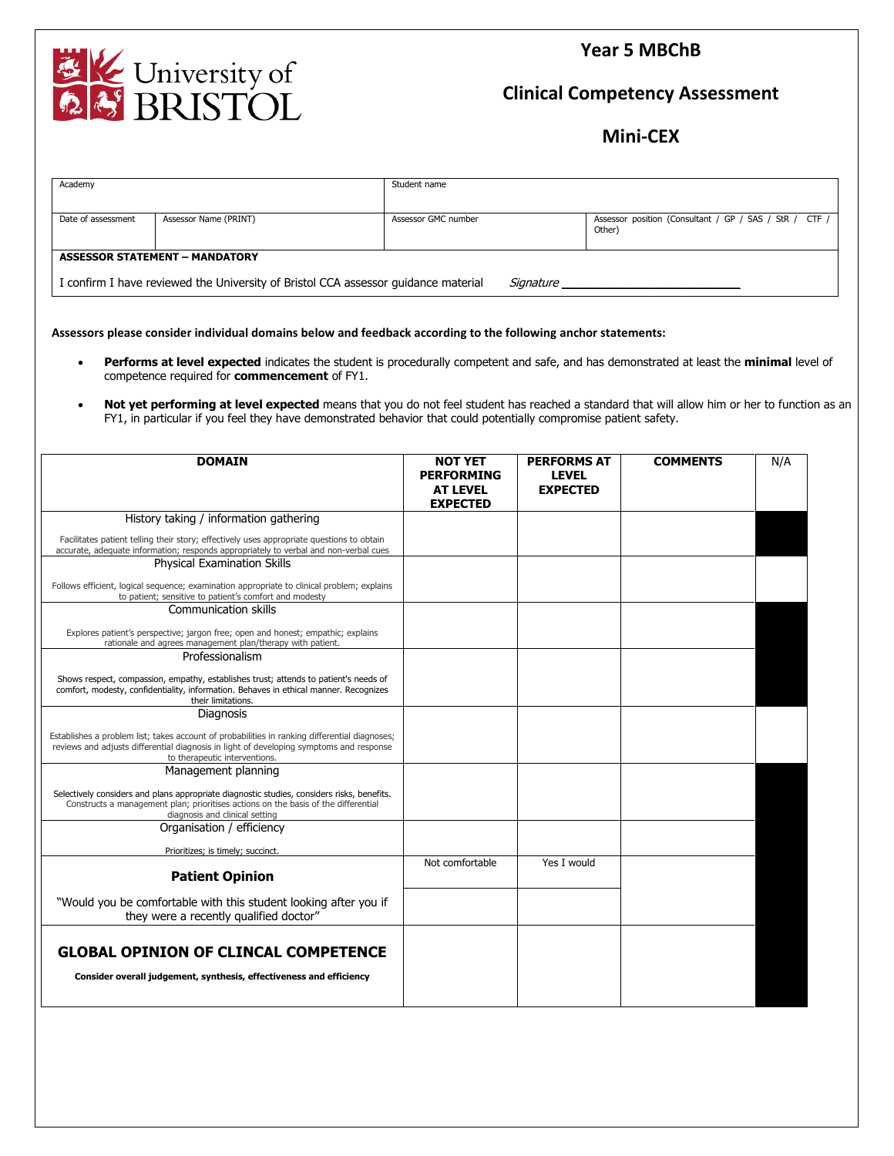**Year 5 MBChB**



**Clinical Competency Assessment**

**Mini-CEX**

| Academy                                                                                         |                       | Student name        |                                                                  |  |  |  |
|-------------------------------------------------------------------------------------------------|-----------------------|---------------------|------------------------------------------------------------------|--|--|--|
| Date of assessment                                                                              | Assessor Name (PRINT) | Assessor GMC number | Assessor position (Consultant / GP / SAS / StR / CTF /<br>Other) |  |  |  |
| <b>ASSESSOR STATEMENT - MANDATORY</b>                                                           |                       |                     |                                                                  |  |  |  |
| I confirm I have reviewed the University of Bristol CCA assessor guidance material<br>Sianature |                       |                     |                                                                  |  |  |  |

**Assessors please consider individual domains below and feedback according to the following anchor statements:**

- **Performs at level expected** indicates the student is procedurally competent and safe, and has demonstrated at least the **minimal** level of competence required for **commencement** of FY1.
- **Not yet performing at level expected** means that you do not feel student has reached a standard that will allow him or her to function as an FY1, in particular if you feel they have demonstrated behavior that could potentially compromise patient safety.

| <b>DOMAIN</b>                                                                                                                                                                                                             | <b>NOT YET</b><br><b>PERFORMING</b><br><b>AT LEVEL</b><br><b>EXPECTED</b> | <b>PERFORMS AT</b><br><b>LEVEL</b><br><b>EXPECTED</b> | <b>COMMENTS</b> | N/A |
|---------------------------------------------------------------------------------------------------------------------------------------------------------------------------------------------------------------------------|---------------------------------------------------------------------------|-------------------------------------------------------|-----------------|-----|
| History taking / information gathering                                                                                                                                                                                    |                                                                           |                                                       |                 |     |
| Facilitates patient telling their story; effectively uses appropriate questions to obtain<br>accurate, adequate information; responds appropriately to verbal and non-verbal cues                                         |                                                                           |                                                       |                 |     |
| <b>Physical Examination Skills</b>                                                                                                                                                                                        |                                                                           |                                                       |                 |     |
| Follows efficient, logical sequence; examination appropriate to clinical problem; explains<br>to patient; sensitive to patient's comfort and modesty                                                                      |                                                                           |                                                       |                 |     |
| <b>Communication skills</b>                                                                                                                                                                                               |                                                                           |                                                       |                 |     |
| Explores patient's perspective; jargon free; open and honest; empathic; explains<br>rationale and agrees management plan/therapy with patient.                                                                            |                                                                           |                                                       |                 |     |
| Professionalism                                                                                                                                                                                                           |                                                                           |                                                       |                 |     |
| Shows respect, compassion, empathy, establishes trust; attends to patient's needs of<br>comfort, modesty, confidentiality, information. Behaves in ethical manner. Recognizes<br>their limitations.                       |                                                                           |                                                       |                 |     |
| Diagnosis                                                                                                                                                                                                                 |                                                                           |                                                       |                 |     |
| Establishes a problem list; takes account of probabilities in ranking differential diagnoses;<br>reviews and adjusts differential diagnosis in light of developing symptoms and response<br>to therapeutic interventions. |                                                                           |                                                       |                 |     |
| Management planning                                                                                                                                                                                                       |                                                                           |                                                       |                 |     |
| Selectively considers and plans appropriate diagnostic studies, considers risks, benefits.<br>Constructs a management plan; prioritises actions on the basis of the differential<br>diagnosis and clinical setting        |                                                                           |                                                       |                 |     |
| Organisation / efficiency                                                                                                                                                                                                 |                                                                           |                                                       |                 |     |
| Prioritizes; is timely; succinct.                                                                                                                                                                                         |                                                                           |                                                       |                 |     |
| <b>Patient Opinion</b>                                                                                                                                                                                                    | Not comfortable                                                           | Yes I would                                           |                 |     |
| "Would you be comfortable with this student looking after you if<br>they were a recently qualified doctor"                                                                                                                |                                                                           |                                                       |                 |     |
|                                                                                                                                                                                                                           |                                                                           |                                                       |                 |     |
| <b>GLOBAL OPINION OF CLINCAL COMPETENCE</b>                                                                                                                                                                               |                                                                           |                                                       |                 |     |
| Consider overall judgement, synthesis, effectiveness and efficiency                                                                                                                                                       |                                                                           |                                                       |                 |     |
|                                                                                                                                                                                                                           |                                                                           |                                                       |                 |     |